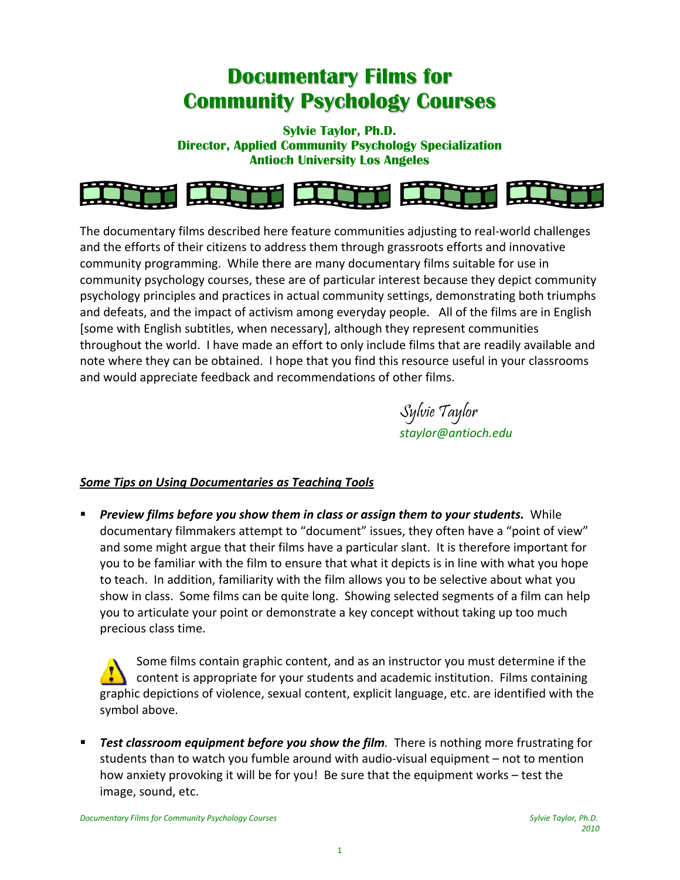# **Documentary Films for Community Psychology Courses**

**Sylvie Taylor, Ph.D. Director, Applied Community Psychology Specialization Antioch University Los Angeles** 



The documentary films described here feature communities adjusting to real‐world challenges and the efforts of their citizens to address them through grassroots efforts and innovative community programming. While there are many documentary films suitable for use in community psychology courses, these are of particular interest because they depict community psychology principles and practices in actual community settings, demonstrating both triumphs and defeats, and the impact of activism among everyday people. All of the films are in English [some with English subtitles, when necessary], although they represent communities throughout the world. I have made an effort to only include films that are readily available and note where they can be obtained. I hope that you find this resource useful in your classrooms and would appreciate feedback and recommendations of other films.

> Sylvie Taylor *staylor@antioch.edu*

### *Some Tips on Using Documentaries as Teaching Tools*

 *Preview films before you show them in class or assign them to your students.* While documentary filmmakers attempt to "document" issues, they often have a "point of view" and some might argue that their films have a particular slant. It is therefore important for you to be familiar with the film to ensure that what it depicts is in line with what you hope to teach. In addition, familiarity with the film allows you to be selective about what you show in class. Some films can be quite long. Showing selected segments of a film can help you to articulate your point or demonstrate a key concept without taking up too much precious class time.

Some films contain graphic content, and as an instructor you must determine if the content is appropriate for your students and academic institution. Films containing graphic depictions of violence, sexual content, explicit language, etc. are identified with the symbol above.

**Fest** *classroom* equipment before you show the film. There is nothing more frustrating for students than to watch you fumble around with audio‐visual equipment – not to mention how anxiety provoking it will be for you! Be sure that the equipment works – test the image, sound, etc.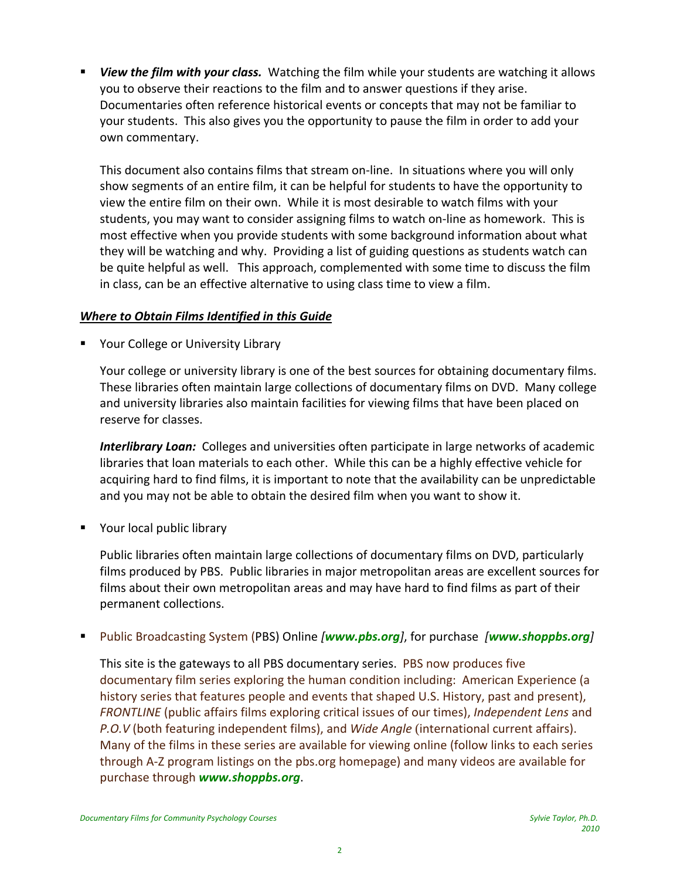*View the film with your class.* Watching the film while your students are watching it allows you to observe their reactions to the film and to answer questions if they arise. Documentaries often reference historical events or concepts that may not be familiar to your students. This also gives you the opportunity to pause the film in order to add your own commentary.

This document also contains films that stream on‐line. In situations where you will only show segments of an entire film, it can be helpful for students to have the opportunity to view the entire film on their own. While it is most desirable to watch films with your students, you may want to consider assigning films to watch on‐line as homework. This is most effective when you provide students with some background information about what they will be watching and why. Providing a list of guiding questions as students watch can be quite helpful as well. This approach, complemented with some time to discuss the film in class, can be an effective alternative to using class time to view a film.

### *Where to Obtain Films Identified in this Guide*

**Theory College or University Library** 

Your college or university library is one of the best sources for obtaining documentary films. These libraries often maintain large collections of documentary films on DVD. Many college and university libraries also maintain facilities for viewing films that have been placed on reserve for classes.

*Interlibrary Loan:* Colleges and universities often participate in large networks of academic libraries that loan materials to each other. While this can be a highly effective vehicle for acquiring hard to find films, it is important to note that the availability can be unpredictable and you may not be able to obtain the desired film when you want to show it.

**•** Your local public library

Public libraries often maintain large collections of documentary films on DVD, particularly films produced by PBS. Public libraries in major metropolitan areas are excellent sources for films about their own metropolitan areas and may have hard to find films as part of their permanent collections.

Public Broadcasting System (PBS) Online *[www.pbs.org]*, for purchase *[www.shoppbs.org]*

This site is the gateways to all PBS documentary series. PBS now produces five documentary film series exploring the human condition including: American Experience (a history series that features people and events that shaped U.S. History, past and present), *FRONTLINE* (public affairs films exploring critical issues of our times), *Independent Lens* and *P.O.V* (both featuring independent films), and *Wide Angle* (international current affairs). Many of the films in these series are available for viewing online (follow links to each series through A‐Z program listings on the pbs.org homepage) and many videos are available for purchase through *www.shoppbs.org*.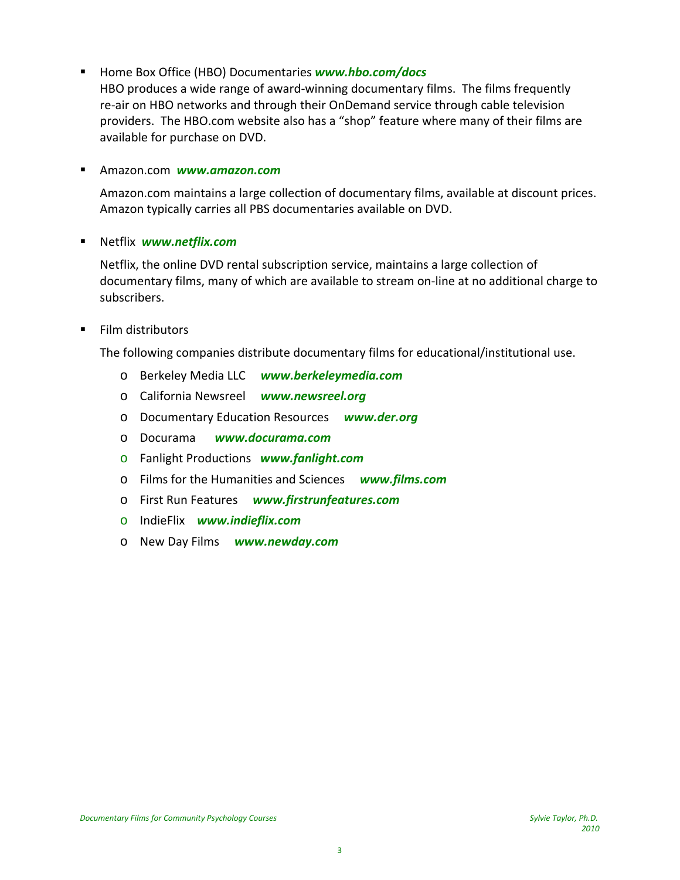■ Home Box Office (HBO) Documentaries **www.hbo.com/docs** 

HBO produces a wide range of award‐winning documentary films. The films frequently re-air on HBO networks and through their OnDemand service through cable television providers. The HBO.com website also has a "shop" feature where many of their films are available for purchase on DVD.

Amazon.com *www.amazon.com*

Amazon.com maintains a large collection of documentary films, available at discount prices. Amazon typically carries all PBS documentaries available on DVD.

Netflix *www.netflix.com*

Netflix, the online DVD rental subscription service, maintains a large collection of documentary films, many of which are available to stream on‐line at no additional charge to subscribers.

**Film distributors** 

The following companies distribute documentary films for educational/institutional use.

- o Berkeley Media LLC *www.berkeleymedia.com*
- o California Newsreel *www.newsreel.org*
- o Documentary Education Resources  *www.der.org*
- o Docurama *www.docurama.com*
- o Fanlight Productions *www.fanlight.com*
- o Films for the Humanities and Sciences *www.films.com*
- o First Run Features *www.firstrunfeatures.com*
- o IndieFlix *www.indieflix.com*
- o New Day Films *www.newday.com*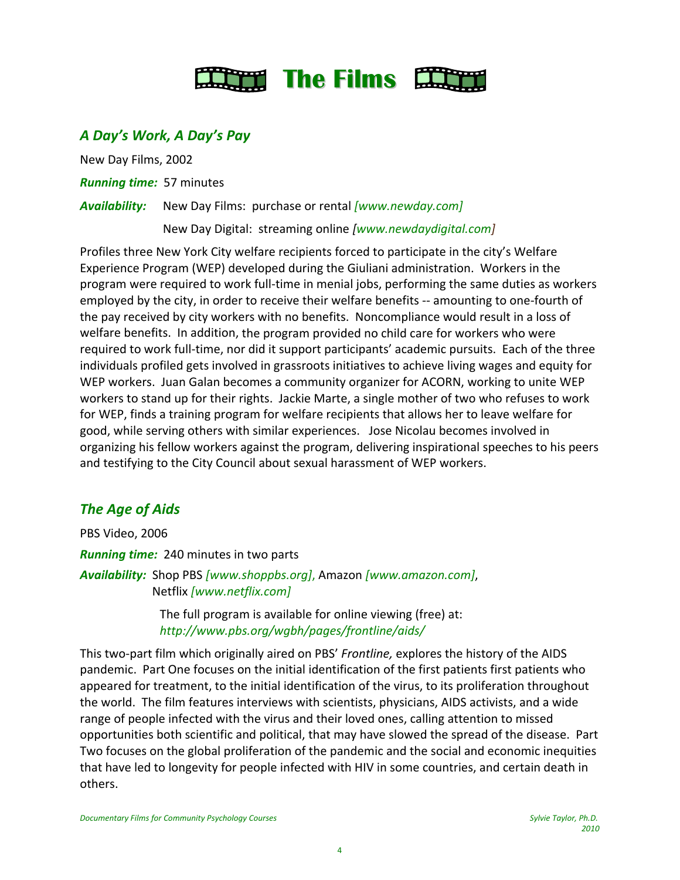

# *A Day's Work, A Day's Pay*

New Day Films, 2002

**Running time:** 57 minutes

*Availability:* New Day Films: purchase or rental *[www.newday.com]*

New Day Digital: streaming online *[www.newdaydigital.com]*

Profiles three New York City welfare recipients forced to participate in the city's Welfare Experience Program (WEP) developed during the Giuliani administration. Workers in the program were required to work full‐time in menial jobs, performing the same duties as workers employed by the city, in order to receive their welfare benefits ‐‐ amounting to one‐fourth of the pay received by city workers with no benefits. Noncompliance would result in a loss of welfare benefits. In addition, the program provided no child care for workers who were required to work full-time, nor did it support participants' academic pursuits. Each of the three individuals profiled gets involved in grassroots initiatives to achieve living wages and equity for WEP workers. Juan Galan becomes a community organizer for ACORN, working to unite WEP workers to stand up for their rights. Jackie Marte, a single mother of two who refuses to work for WEP, finds a training program for welfare recipients that allows her to leave welfare for good, while serving others with similar experiences. Jose Nicolau becomes involved in organizing his fellow workers against the program, delivering inspirational speeches to his peers and testifying to the City Council about sexual harassment of WEP workers.

# *The Age of Aids*

PBS Video, 2006 *Running time:* 240 minutes in two parts *Availability:* Shop PBS *[www.shoppbs.org]*, Amazon *[www.amazon.com]*, Netflix *[www.netflix.com]*

> The full program is available for online viewing (free) at:  *http://www.pbs.org/wgbh/pages/frontline/aids/*

This two‐part film which originally aired on PBS' *Frontline,* explores the history of the AIDS pandemic. Part One focuses on the initial identification of the first patients first patients who appeared for treatment, to the initial identification of the virus, to its proliferation throughout the world. The film features interviews with scientists, physicians, AIDS activists, and a wide range of people infected with the virus and their loved ones, calling attention to missed opportunities both scientific and political, that may have slowed the spread of the disease. Part Two focuses on the global proliferation of the pandemic and the social and economic inequities that have led to longevity for people infected with HIV in some countries, and certain death in others.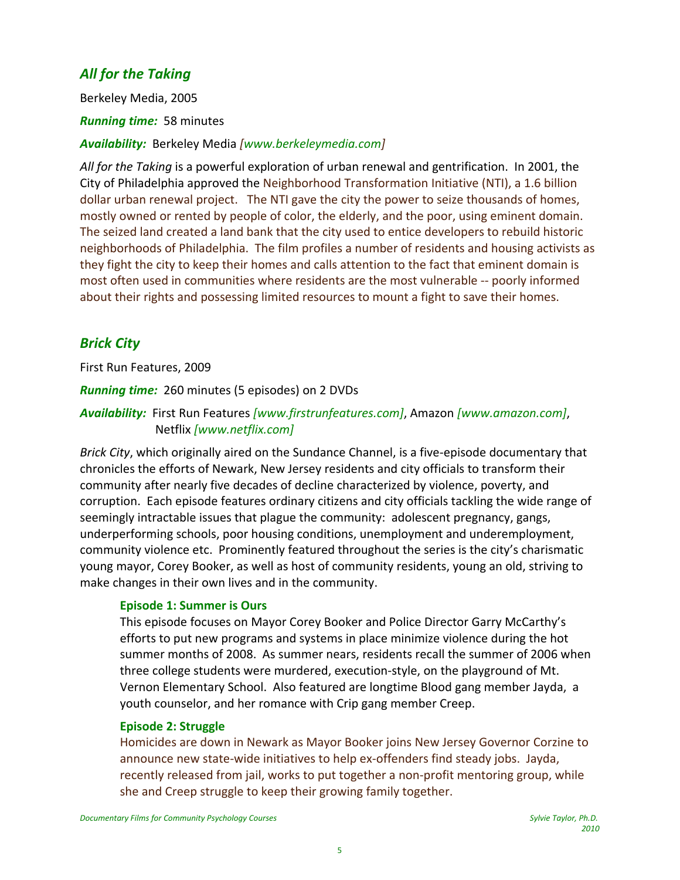# *All for the Taking*

Berkeley Media, 2005

*Running time:* 58 minutes

*Availability:* Berkeley Media *[www.berkeleymedia.com]*

*All for the Taking* is a powerful exploration of urban renewal and gentrification. In 2001, the City of Philadelphia approved the Neighborhood Transformation Initiative (NTI), a 1.6 billion dollar urban renewal project. The NTI gave the city the power to seize thousands of homes, mostly owned or rented by people of color, the elderly, and the poor, using eminent domain. The seized land created a land bank that the city used to entice developers to rebuild historic neighborhoods of Philadelphia. The film profiles a number of residents and housing activists as they fight the city to keep their homes and calls attention to the fact that eminent domain is most often used in communities where residents are the most vulnerable ‐‐ poorly informed about their rights and possessing limited resources to mount a fight to save their homes.

# *Brick City*

First Run Features, 2009

### *Running time:* 260 minutes (5 episodes) on 2 DVDs

*Availability:* First Run Features *[www.firstrunfeatures.com]*, Amazon *[www.amazon.com]*, Netflix *[www.netflix.com]*

*Brick City*, which originally aired on the Sundance Channel, is a five‐episode documentary that chronicles the efforts of Newark, New Jersey residents and city officials to transform their community after nearly five decades of decline characterized by violence, poverty, and corruption. Each episode features ordinary citizens and city officials tackling the wide range of seemingly intractable issues that plague the community: adolescent pregnancy, gangs, underperforming schools, poor housing conditions, unemployment and underemployment, community violence etc. Prominently featured throughout the series is the city's charismatic young mayor, Corey Booker, as well as host of community residents, young an old, striving to make changes in their own lives and in the community.

#### **Episode 1: Summer is Ours**

This episode focuses on Mayor Corey Booker and Police Director Garry McCarthy's efforts to put new programs and systems in place minimize violence during the hot summer months of 2008. As summer nears, residents recall the summer of 2006 when three college students were murdered, execution‐style, on the playground of Mt. Vernon Elementary School. Also featured are longtime Blood gang member Jayda, a youth counselor, and her romance with Crip gang member Creep.

#### **Episode 2: Struggle**

Homicides are down in Newark as Mayor Booker joins New Jersey Governor Corzine to announce new state‐wide initiatives to help ex‐offenders find steady jobs. Jayda, recently released from jail, works to put together a non‐profit mentoring group, while she and Creep struggle to keep their growing family together.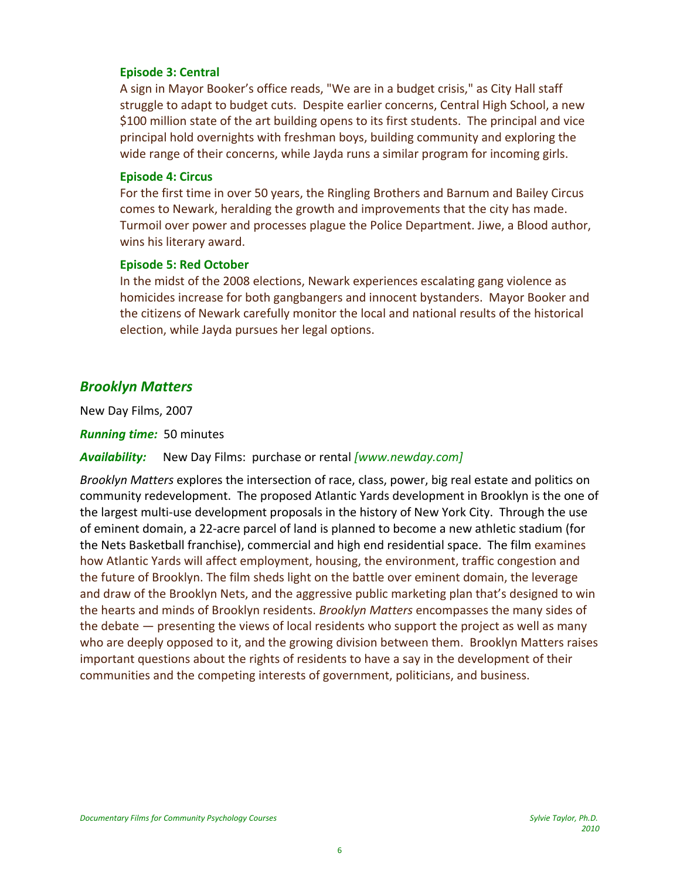#### **Episode 3: Central**

A sign in Mayor Booker's office reads, "We are in a budget crisis," as City Hall staff struggle to adapt to budget cuts. Despite earlier concerns, Central High School, a new \$100 million state of the art building opens to its first students. The principal and vice principal hold overnights with freshman boys, building community and exploring the wide range of their concerns, while Jayda runs a similar program for incoming girls.

#### **Episode 4: Circus**

For the first time in over 50 years, the Ringling Brothers and Barnum and Bailey Circus comes to Newark, heralding the growth and improvements that the city has made. Turmoil over power and processes plague the Police Department. Jiwe, a Blood author, wins his literary award.

#### **Episode 5: Red October**

In the midst of the 2008 elections, Newark experiences escalating gang violence as homicides increase for both gangbangers and innocent bystanders. Mayor Booker and the citizens of Newark carefully monitor the local and national results of the historical election, while Jayda pursues her legal options.

### *Brooklyn Matters*

New Day Films, 2007

*Running time:* 50 minutes

#### *Availability:* New Day Films: purchase or rental *[www.newday.com]*

*Brooklyn Matters* explores the intersection of race, class, power, big real estate and politics on community redevelopment. The proposed Atlantic Yards development in Brooklyn is the one of the largest multi‐use development proposals in the history of New York City. Through the use of eminent domain, a 22‐acre parcel of land is planned to become a new athletic stadium (for the Nets Basketball franchise), commercial and high end residential space. The film examines how Atlantic Yards will affect employment, housing, the environment, traffic congestion and the future of Brooklyn. The film sheds light on the battle over eminent domain, the leverage and draw of the Brooklyn Nets, and the aggressive public marketing plan that's designed to win the hearts and minds of Brooklyn residents. *Brooklyn Matters* encompasses the many sides of the debate — presenting the views of local residents who support the project as well as many who are deeply opposed to it, and the growing division between them. Brooklyn Matters raises important questions about the rights of residents to have a say in the development of their communities and the competing interests of government, politicians, and business.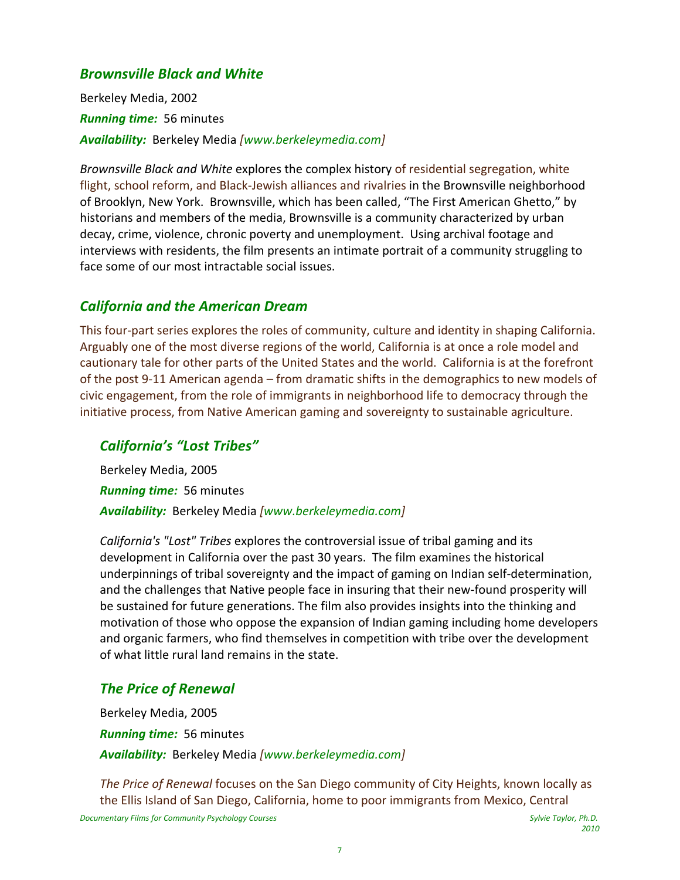### *Brownsville Black and White*

Berkeley Media, 2002 *Running time:* 56 minutes *Availability:* Berkeley Media *[www.berkeleymedia.com]*

*Brownsville Black and White* explores the complex history of residential segregation, white flight, school reform, and Black‐Jewish alliances and rivalries in the Brownsville neighborhood of Brooklyn, New York. Brownsville, which has been called, "The First American Ghetto," by historians and members of the media, Brownsville is a community characterized by urban decay, crime, violence, chronic poverty and unemployment. Using archival footage and interviews with residents, the film presents an intimate portrait of a community struggling to face some of our most intractable social issues.

### *California and the American Dream*

This four-part series explores the roles of community, culture and identity in shaping California. Arguably one of the most diverse regions of the world, California is at once a role model and cautionary tale for other parts of the United States and the world. California is at the forefront of the post 9‐11 American agenda – from dramatic shifts in the demographics to new models of civic engagement, from the role of immigrants in neighborhood life to democracy through the initiative process, from Native American gaming and sovereignty to sustainable agriculture.

### *California's "Lost Tribes"*

Berkeley Media, 2005 *Running time:* 56 minutes *Availability:* Berkeley Media *[www.berkeleymedia.com]*

*California's "Lost" Tribes* explores the controversial issue of tribal gaming and its development in California over the past 30 years. The film examines the historical underpinnings of tribal sovereignty and the impact of gaming on Indian self‐determination, and the challenges that Native people face in insuring that their new‐found prosperity will be sustained for future generations. The film also provides insights into the thinking and motivation of those who oppose the expansion of Indian gaming including home developers and organic farmers, who find themselves in competition with tribe over the development of what little rural land remains in the state.

### *The Price of Renewal*

Berkeley Media, 2005 *Running time:* 56 minutes *Availability:* Berkeley Media *[www.berkeleymedia.com]*

Documentary Films for Community Psychology Courses and the state of the state of the Sylvie Taylor, Ph.D. *The Price of Renewal* focuses on the San Diego community of City Heights, known locally as the Ellis Island of San Diego, California, home to poor immigrants from Mexico, Central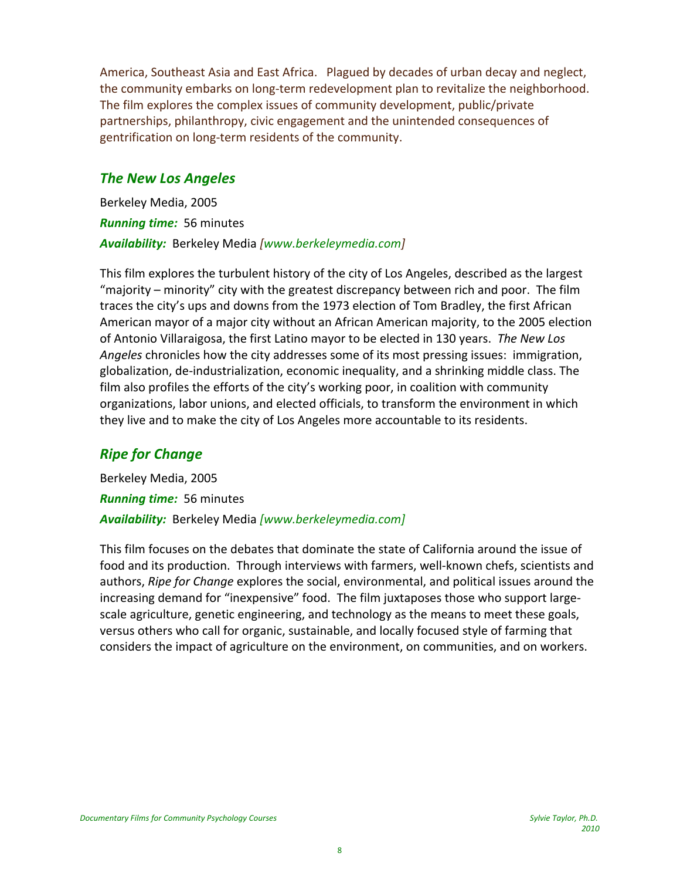America, Southeast Asia and East Africa. Plagued by decades of urban decay and neglect, the community embarks on long‐term redevelopment plan to revitalize the neighborhood. The film explores the complex issues of community development, public/private partnerships, philanthropy, civic engagement and the unintended consequences of gentrification on long‐term residents of the community.

# *The New Los Angeles*

Berkeley Media, 2005 *Running time:* 56 minutes *Availability:* Berkeley Media *[www.berkeleymedia.com]*

This film explores the turbulent history of the city of Los Angeles, described as the largest "majority – minority" city with the greatest discrepancy between rich and poor. The film traces the city's ups and downs from the 1973 election of Tom Bradley, the first African American mayor of a major city without an African American majority, to the 2005 election of Antonio Villaraigosa, the first Latino mayor to be elected in 130 years. *The New Los Angeles* chronicles how the city addresses some of its most pressing issues: immigration, globalization, de‐industrialization, economic inequality, and a shrinking middle class. The film also profiles the efforts of the city's working poor, in coalition with community organizations, labor unions, and elected officials, to transform the environment in which they live and to make the city of Los Angeles more accountable to its residents.

# *Ripe for Change*

Berkeley Media, 2005 *Running time:* 56 minutes *Availability:* Berkeley Media *[www.berkeleymedia.com]*

This film focuses on the debates that dominate the state of California around the issue of food and its production. Through interviews with farmers, well-known chefs, scientists and authors, *Ripe for Change* explores the social, environmental, and political issues around the increasing demand for "inexpensive" food. The film juxtaposes those who support large‐ scale agriculture, genetic engineering, and technology as the means to meet these goals, versus others who call for organic, sustainable, and locally focused style of farming that considers the impact of agriculture on the environment, on communities, and on workers.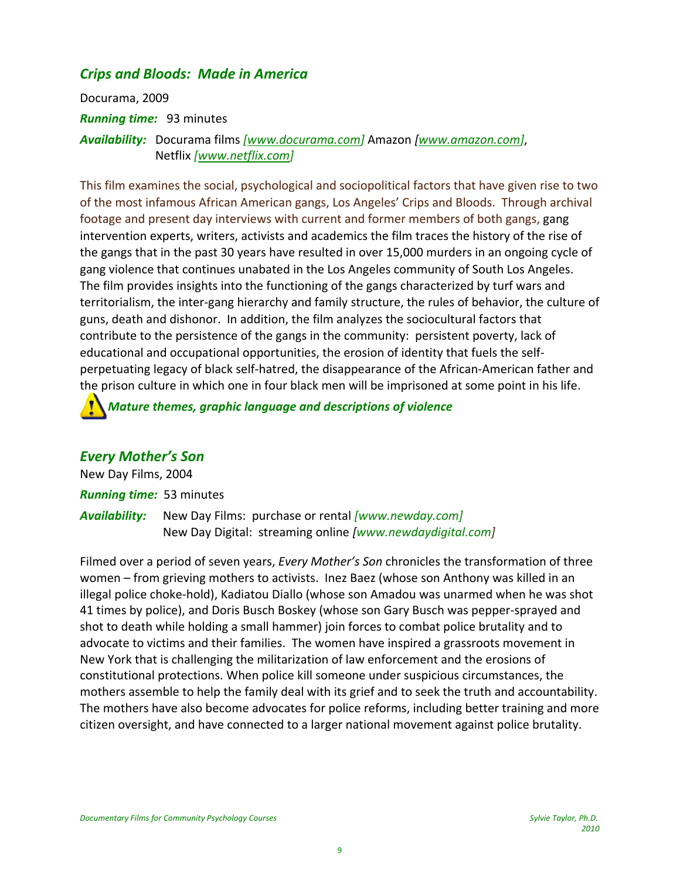# *Crips and Bloods: Made in America*

Docurama, 2009 *Running time:* 93 minutes *Availability:* Docurama films *[www.docurama.com]* Amazon *[www.amazon.com]*, Netflix *[www.netflix.com]*

This film examines the social, psychological and sociopolitical factors that have given rise to two of the most infamous African American gangs, Los Angeles' Crips and Bloods. Through archival footage and present day interviews with current and former members of both gangs, gang intervention experts, writers, activists and academics the film traces the history of the rise of the gangs that in the past 30 years have resulted in over 15,000 murders in an ongoing cycle of gang violence that continues unabated in the Los Angeles community of South Los Angeles. The film provides insights into the functioning of the gangs characterized by turf wars and territorialism, the inter‐gang hierarchy and family structure, the rules of behavior, the culture of guns, death and dishonor. In addition, the film analyzes the sociocultural factors that contribute to the persistence of the gangs in the community: persistent poverty, lack of educational and occupational opportunities, the erosion of identity that fuels the self‐ perpetuating legacy of black self‐hatred, the disappearance of the African‐American father and the prison culture in which one in four black men will be imprisoned at some point in his life.

### *Mature themes, graphic language and descriptions of violence*

### *Every Mother's Son*

New Day Films, 2004 *Running time:* 53 minutes *Availability:* New Day Films: purchase or rental *[www.newday.com]* New Day Digital: streaming online *[www.newdaydigital.com]*

Filmed over a period of seven years, *Every Mother's Son* chronicles the transformation of three women – from grieving mothers to activists. Inez Baez (whose son Anthony was killed in an illegal police choke‐hold), Kadiatou Diallo (whose son Amadou was unarmed when he was shot 41 times by police), and Doris Busch Boskey (whose son Gary Busch was pepper‐sprayed and shot to death while holding a small hammer) join forces to combat police brutality and to advocate to victims and their families. The women have inspired a grassroots movement in New York that is challenging the militarization of law enforcement and the erosions of constitutional protections. When police kill someone under suspicious circumstances, the mothers assemble to help the family deal with its grief and to seek the truth and accountability. The mothers have also become advocates for police reforms, including better training and more citizen oversight, and have connected to a larger national movement against police brutality.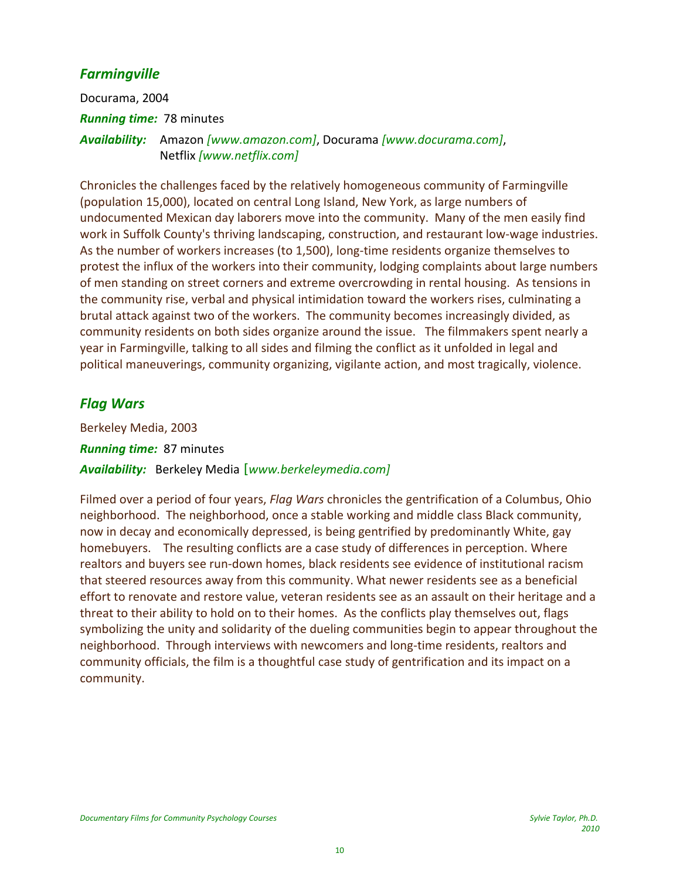# *Farmingville*

Docurama, 2004 *Running time:* 78 minutes *Availability:*  Amazon *[www.amazon.com]*, Docurama *[www.docurama.com]*, Netflix *[www.netflix.com]*

Chronicles the challenges faced by the relatively homogeneous community of Farmingville (population 15,000), located on central Long Island, New York, as large numbers of undocumented Mexican day laborers move into the community. Many of the men easily find work in Suffolk County's thriving landscaping, construction, and restaurant low-wage industries. As the number of workers increases (to 1,500), long‐time residents organize themselves to protest the influx of the workers into their community, lodging complaints about large numbers of men standing on street corners and extreme overcrowding in rental housing. As tensions in the community rise, verbal and physical intimidation toward the workers rises, culminating a brutal attack against two of the workers. The community becomes increasingly divided, as community residents on both sides organize around the issue. The filmmakers spent nearly a year in Farmingville, talking to all sides and filming the conflict as it unfolded in legal and political maneuverings, community organizing, vigilante action, and most tragically, violence.

# *Flag Wars*

Berkeley Media, 2003 *Running time:* 87 minutes *Availability:* Berkeley Media *[www.berkeleymedia.com]*

Filmed over a period of four years, *Flag Wars* chronicles the gentrification of a Columbus, Ohio neighborhood. The neighborhood, once a stable working and middle class Black community, now in decay and economically depressed, is being gentrified by predominantly White, gay homebuyers. The resulting conflicts are a case study of differences in perception. Where realtors and buyers see run‐down homes, black residents see evidence of institutional racism that steered resources away from this community. What newer residents see as a beneficial effort to renovate and restore value, veteran residents see as an assault on their heritage and a threat to their ability to hold on to their homes. As the conflicts play themselves out, flags symbolizing the unity and solidarity of the dueling communities begin to appear throughout the neighborhood. Through interviews with newcomers and long‐time residents, realtors and community officials, the film is a thoughtful case study of gentrification and its impact on a community.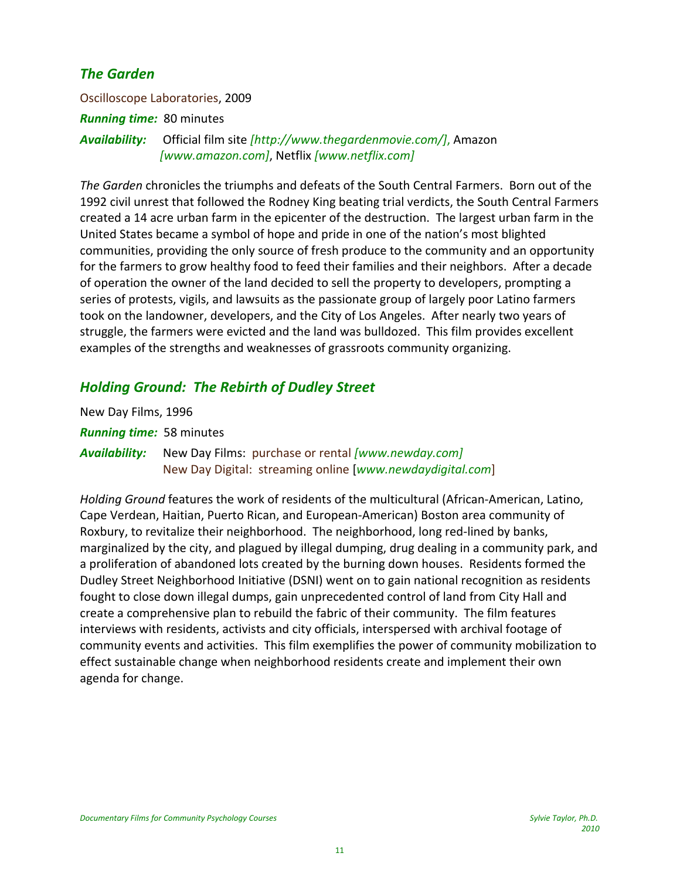# *The Garden*

Oscilloscope Laboratories, 2009 *Running time:* 80 minutes *Availability:* Official film site *[http://www.thegardenmovie.com/]*, Amazon *[www.amazon.com]*, Netflix *[www.netflix.com]*

*The Garden* chronicles the triumphs and defeats of the South Central Farmers. Born out of the 1992 civil unrest that followed the Rodney King beating trial verdicts, the South Central Farmers created a 14 acre urban farm in the epicenter of the destruction. The largest urban farm in the United States became a symbol of hope and pride in one of the nation's most blighted communities, providing the only source of fresh produce to the community and an opportunity for the farmers to grow healthy food to feed their families and their neighbors. After a decade of operation the owner of the land decided to sell the property to developers, prompting a series of protests, vigils, and lawsuits as the passionate group of largely poor Latino farmers took on the landowner, developers, and the City of Los Angeles. After nearly two years of struggle, the farmers were evicted and the land was bulldozed. This film provides excellent examples of the strengths and weaknesses of grassroots community organizing.

# *Holding Ground: The Rebirth of Dudley Street*

New Day Films, 1996 *Running time:* 58 minutes *Availability:* New Day Films: purchase or rental *[www.newday.com]* New Day Digital: streaming online [*www.newdaydigital.com*]

*Holding Ground* features the work of residents of the multicultural (African‐American, Latino, Cape Verdean, Haitian, Puerto Rican, and European‐American) Boston area community of Roxbury, to revitalize their neighborhood. The neighborhood, long red‐lined by banks, marginalized by the city, and plagued by illegal dumping, drug dealing in a community park, and a proliferation of abandoned lots created by the burning down houses. Residents formed the Dudley Street Neighborhood Initiative (DSNI) went on to gain national recognition as residents fought to close down illegal dumps, gain unprecedented control of land from City Hall and create a comprehensive plan to rebuild the fabric of their community. The film features interviews with residents, activists and city officials, interspersed with archival footage of community events and activities. This film exemplifies the power of community mobilization to effect sustainable change when neighborhood residents create and implement their own agenda for change.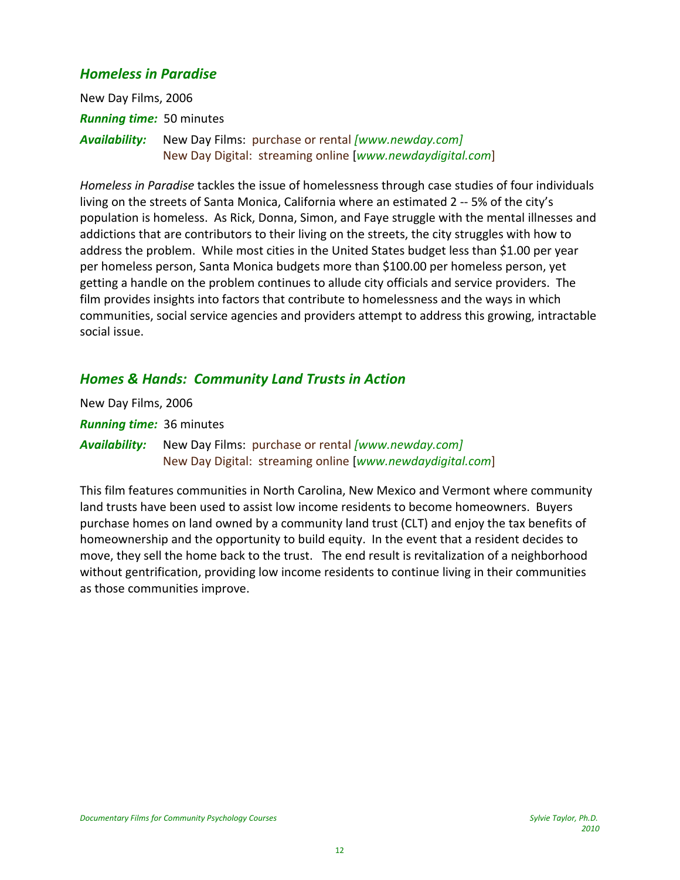### *Homeless in Paradise*

New Day Films, 2006 *Running time:* 50 minutes *Availability:* New Day Films: purchase or rental *[www.newday.com]* New Day Digital: streaming online [*www.newdaydigital.com*]

*Homeless in Paradise* tackles the issue of homelessness through case studies of four individuals living on the streets of Santa Monica, California where an estimated 2 ‐‐ 5% of the city's population is homeless. As Rick, Donna, Simon, and Faye struggle with the mental illnesses and addictions that are contributors to their living on the streets, the city struggles with how to address the problem. While most cities in the United States budget less than \$1.00 per year per homeless person, Santa Monica budgets more than \$100.00 per homeless person, yet getting a handle on the problem continues to allude city officials and service providers. The film provides insights into factors that contribute to homelessness and the ways in which communities, social service agencies and providers attempt to address this growing, intractable social issue.

### *Homes & Hands: Community Land Trusts in Action*

| New Day Films, 2006             |                                                                                                                 |
|---------------------------------|-----------------------------------------------------------------------------------------------------------------|
| <b>Running time: 36 minutes</b> |                                                                                                                 |
| Availability:                   | New Day Films: purchase or rental [www.newday.com]<br>New Day Digital: streaming online [www.newdaydigital.com] |

This film features communities in North Carolina, New Mexico and Vermont where community land trusts have been used to assist low income residents to become homeowners. Buyers purchase homes on land owned by a community land trust (CLT) and enjoy the tax benefits of homeownership and the opportunity to build equity. In the event that a resident decides to move, they sell the home back to the trust. The end result is revitalization of a neighborhood without gentrification, providing low income residents to continue living in their communities as those communities improve.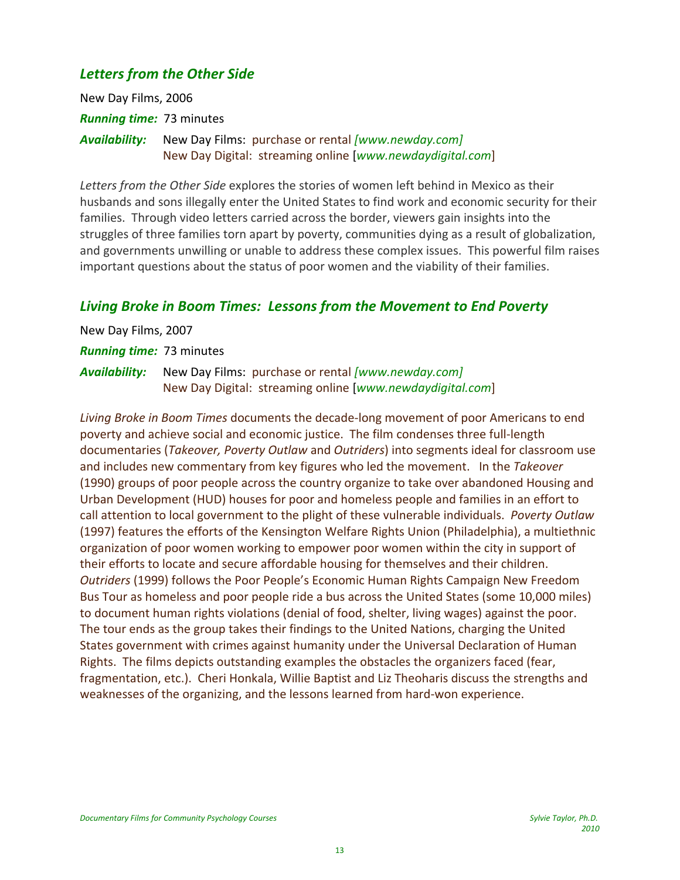# *Letters from the Other Side*

New Day Films, 2006 *Running time:* 73 minutes *Availability:* New Day Films: purchase or rental *[www.newday.com]* New Day Digital: streaming online [*www.newdaydigital.com*]

*Letters from the Other Side* explores the stories of women left behind in Mexico as their husbands and sons illegally enter the United States to find work and economic security for their families. Through video letters carried across the border, viewers gain insights into the struggles of three families torn apart by poverty, communities dying as a result of globalization, and governments unwilling or unable to address these complex issues. This powerful film raises important questions about the status of poor women and the viability of their families.

### *Living Broke in Boom Times: Lessons from the Movement to End Poverty*

New Day Films, 2007 *Running time:* 73 minutes *Availability:* New Day Films: purchase or rental *[www.newday.com]* New Day Digital: streaming online [*www.newdaydigital.com*]

*Living Broke in Boom Times* documents the decade‐long movement of poor Americans to end poverty and achieve social and economic justice. The film condenses three full‐length documentaries (*Takeover, Poverty Outlaw* and *Outriders*) into segments ideal for classroom use and includes new commentary from key figures who led the movement. In the *Takeover* (1990) groups of poor people across the country organize to take over abandoned Housing and Urban Development (HUD) houses for poor and homeless people and families in an effort to call attention to local government to the plight of these vulnerable individuals. *Poverty Outlaw* (1997) features the efforts of the Kensington Welfare Rights Union (Philadelphia), a multiethnic organization of poor women working to empower poor women within the city in support of their efforts to locate and secure affordable housing for themselves and their children. *Outriders* (1999) follows the Poor People's Economic Human Rights Campaign New Freedom Bus Tour as homeless and poor people ride a bus across the United States (some 10,000 miles) to document human rights violations (denial of food, shelter, living wages) against the poor. The tour ends as the group takes their findings to the United Nations, charging the United States government with crimes against humanity under the Universal Declaration of Human Rights. The films depicts outstanding examples the obstacles the organizers faced (fear, fragmentation, etc.). Cheri Honkala, Willie Baptist and Liz Theoharis discuss the strengths and weaknesses of the organizing, and the lessons learned from hard-won experience.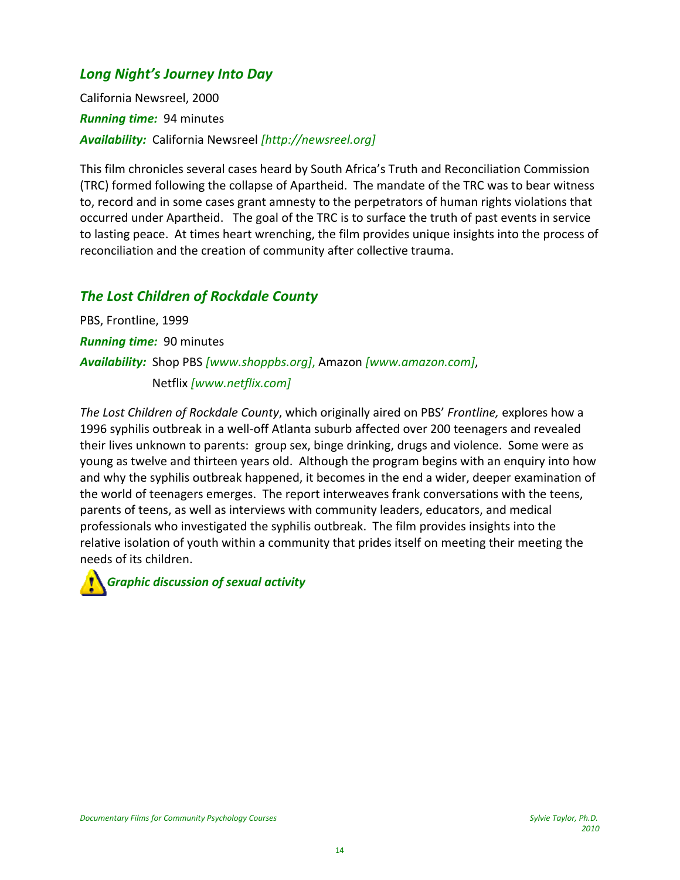# *Long Night's Journey Into Day*

California Newsreel, 2000 *Running time:* 94 minutes *Availability:* California Newsreel *[http://newsreel.org]*

This film chronicles several cases heard by South Africa's Truth and Reconciliation Commission (TRC) formed following the collapse of Apartheid. The mandate of the TRC was to bear witness to, record and in some cases grant amnesty to the perpetrators of human rights violations that occurred under Apartheid. The goal of the TRC is to surface the truth of past events in service to lasting peace. At times heart wrenching, the film provides unique insights into the process of reconciliation and the creation of community after collective trauma.

# *The Lost Children of Rockdale County*

PBS, Frontline, 1999 *Running time:* 90 minutes *Availability:* Shop PBS *[www.shoppbs.org]*, Amazon *[www.amazon.com]*, Netflix *[www.netflix.com]*

*The Lost Children of Rockdale County*, which originally aired on PBS' *Frontline,* explores how a 1996 syphilis outbreak in a well‐off Atlanta suburb affected over 200 teenagers and revealed their lives unknown to parents: group sex, binge drinking, drugs and violence. Some were as young as twelve and thirteen years old. Although the program begins with an enquiry into how and why the syphilis outbreak happened, it becomes in the end a wider, deeper examination of the world of teenagers emerges. The report interweaves frank conversations with the teens, parents of teens, as well as interviews with community leaders, educators, and medical professionals who investigated the syphilis outbreak. The film provides insights into the relative isolation of youth within a community that prides itself on meeting their meeting the needs of its children.

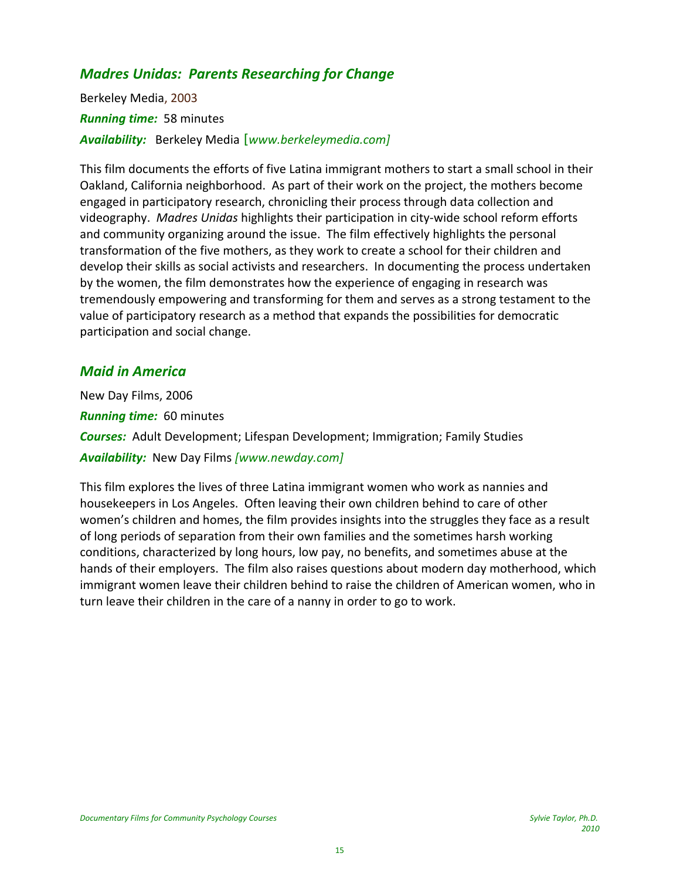# *Madres Unidas: Parents Researching for Change*

Berkeley Media, 2003 *Running time:* 58 minutes *Availability:* Berkeley Media *[www.berkeleymedia.com]*

This film documents the efforts of five Latina immigrant mothers to start a small school in their Oakland, California neighborhood. As part of their work on the project, the mothers become engaged in participatory research, chronicling their process through data collection and videography. *Madres Unidas* highlights their participation in city‐wide school reform efforts and community organizing around the issue. The film effectively highlights the personal transformation of the five mothers, as they work to create a school for their children and develop their skills as social activists and researchers. In documenting the process undertaken by the women, the film demonstrates how the experience of engaging in research was tremendously empowering and transforming for them and serves as a strong testament to the value of participatory research as a method that expands the possibilities for democratic participation and social change.

### *Maid in America*

New Day Films, 2006 *Running time:* 60 minutes *Courses:* Adult Development; Lifespan Development; Immigration; Family Studies *Availability:* New Day Films *[www.newday.com]*

This film explores the lives of three Latina immigrant women who work as nannies and housekeepers in Los Angeles. Often leaving their own children behind to care of other women's children and homes, the film provides insights into the struggles they face as a result of long periods of separation from their own families and the sometimes harsh working conditions, characterized by long hours, low pay, no benefits, and sometimes abuse at the hands of their employers. The film also raises questions about modern day motherhood, which immigrant women leave their children behind to raise the children of American women, who in turn leave their children in the care of a nanny in order to go to work.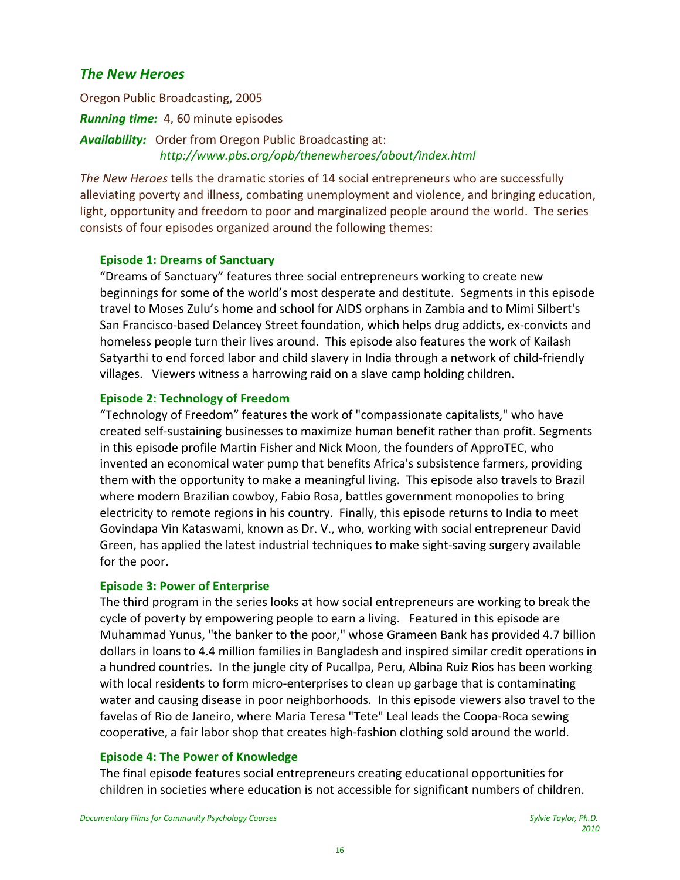### *The New Heroes*

Oregon Public Broadcasting, 2005 *Running time:* 4, 60 minute episodes *Availability:* Order from Oregon Public Broadcasting at: *http://www.pbs.org/opb/thenewheroes/about/index.html*

*The New Heroes* tells the dramatic stories of 14 social entrepreneurs who are successfully alleviating poverty and illness, combating unemployment and violence, and bringing education, light, opportunity and freedom to poor and marginalized people around the world. The series consists of four episodes organized around the following themes:

#### **Episode 1: Dreams of Sanctuary**

"Dreams of Sanctuary" features three social entrepreneurs working to create new beginnings for some of the world's most desperate and destitute. Segments in this episode travel to Moses Zulu's home and school for AIDS orphans in Zambia and to Mimi Silbert's San Francisco‐based Delancey Street foundation, which helps drug addicts, ex‐convicts and homeless people turn their lives around. This episode also features the work of Kailash Satyarthi to end forced labor and child slavery in India through a network of child‐friendly villages. Viewers witness a harrowing raid on a slave camp holding children.

### **Episode 2: Technology of Freedom**

"Technology of Freedom" features the work of "compassionate capitalists," who have created self‐sustaining businesses to maximize human benefit rather than profit. Segments in this episode profile Martin Fisher and Nick Moon, the founders of ApproTEC, who invented an economical water pump that benefits Africa's subsistence farmers, providing them with the opportunity to make a meaningful living. This episode also travels to Brazil where modern Brazilian cowboy, Fabio Rosa, battles government monopolies to bring electricity to remote regions in his country. Finally, this episode returns to India to meet Govindapa Vin Kataswami, known as Dr. V., who, working with social entrepreneur David Green, has applied the latest industrial techniques to make sight‐saving surgery available for the poor.

#### **Episode 3: Power of Enterprise**

The third program in the series looks at how social entrepreneurs are working to break the cycle of poverty by empowering people to earn a living. Featured in this episode are Muhammad Yunus, "the banker to the poor," whose Grameen Bank has provided 4.7 billion dollars in loans to 4.4 million families in Bangladesh and inspired similar credit operations in a hundred countries. In the jungle city of Pucallpa, Peru, Albina Ruiz Rios has been working with local residents to form micro-enterprises to clean up garbage that is contaminating water and causing disease in poor neighborhoods. In this episode viewers also travel to the favelas of Rio de Janeiro, where Maria Teresa "Tete" Leal leads the Coopa‐Roca sewing cooperative, a fair labor shop that creates high‐fashion clothing sold around the world.

#### **Episode 4: The Power of Knowledge**

The final episode features social entrepreneurs creating educational opportunities for children in societies where education is not accessible for significant numbers of children.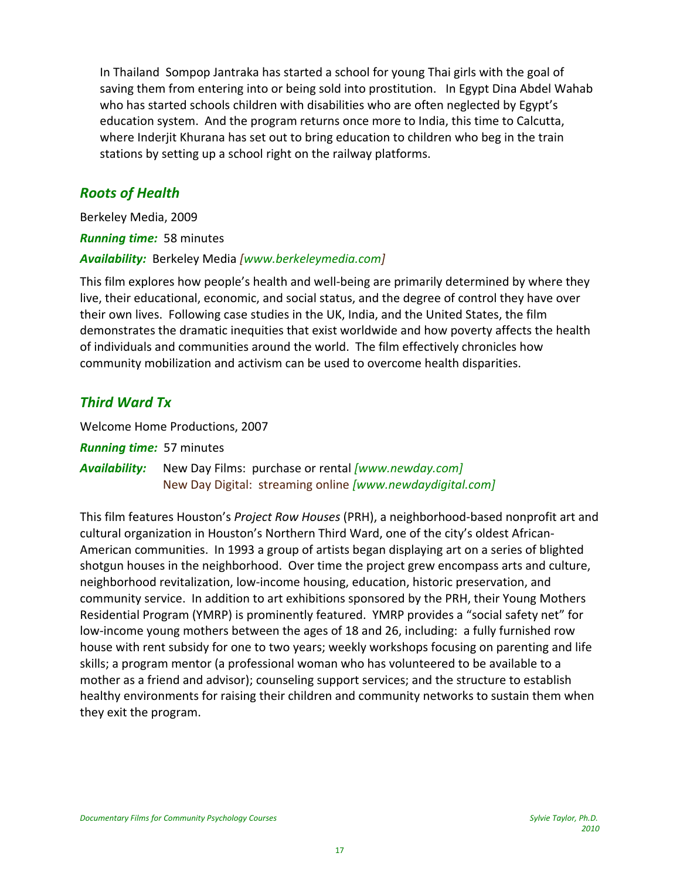In Thailand Sompop Jantraka has started a school for young Thai girls with the goal of saving them from entering into or being sold into prostitution. In Egypt Dina Abdel Wahab who has started schools children with disabilities who are often neglected by Egypt's education system. And the program returns once more to India, this time to Calcutta, where Inderjit Khurana has set out to bring education to children who beg in the train stations by setting up a school right on the railway platforms.

### *Roots of Health*

Berkeley Media, 2009 *Running time:* 58 minutes *Availability:* Berkeley Media *[www.berkeleymedia.com]*

This film explores how people's health and well‐being are primarily determined by where they live, their educational, economic, and social status, and the degree of control they have over their own lives. Following case studies in the UK, India, and the United States, the film demonstrates the dramatic inequities that exist worldwide and how poverty affects the health of individuals and communities around the world. The film effectively chronicles how community mobilization and activism can be used to overcome health disparities.

# *Third Ward Tx*

Welcome Home Productions, 2007

*Running time:* 57 minutes

*Availability:* New Day Films: purchase or rental *[www.newday.com]* New Day Digital: streaming online *[www.newdaydigital.com]*

This film features Houston's *Project Row Houses* (PRH), a neighborhood‐based nonprofit art and cultural organization in Houston's Northern Third Ward, one of the city's oldest African‐ American communities. In 1993 a group of artists began displaying art on a series of blighted shotgun houses in the neighborhood. Over time the project grew encompass arts and culture, neighborhood revitalization, low‐income housing, education, historic preservation, and community service. In addition to art exhibitions sponsored by the PRH, their Young Mothers Residential Program (YMRP) is prominently featured. YMRP provides a "social safety net" for low‐income young mothers between the ages of 18 and 26, including: a fully furnished row house with rent subsidy for one to two years; weekly workshops focusing on parenting and life skills; a program mentor (a professional woman who has volunteered to be available to a mother as a friend and advisor); counseling support services; and the structure to establish healthy environments for raising their children and community networks to sustain them when they exit the program.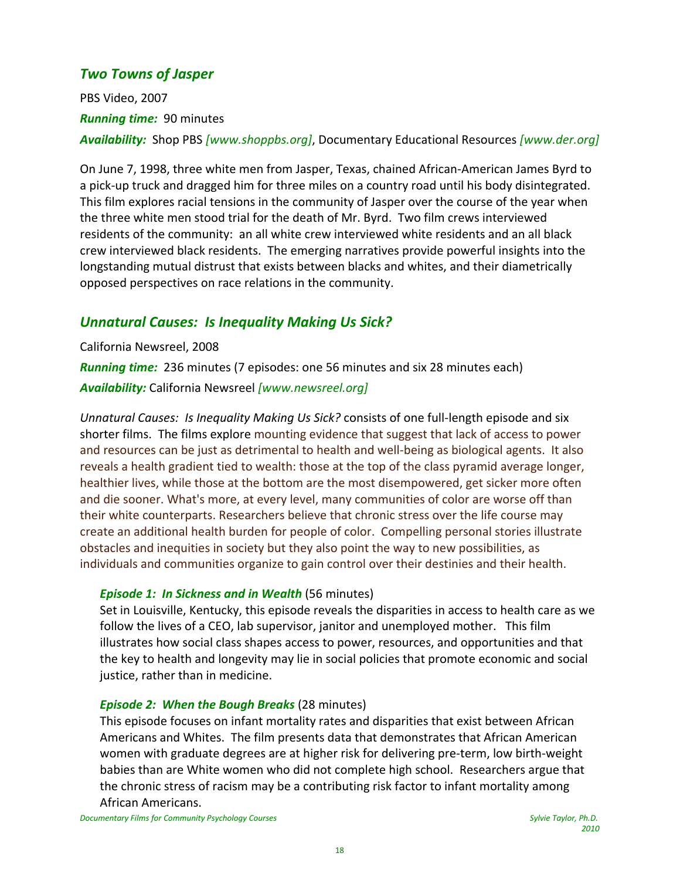# *Two Towns of Jasper*

PBS Video, 2007 *Running time:* 90 minutes *Availability:* Shop PBS *[www.shoppbs.org]*, Documentary Educational Resources *[www.der.org]*

On June 7, 1998, three white men from Jasper, Texas, chained African‐American James Byrd to a pick‐up truck and dragged him for three miles on a country road until his body disintegrated. This film explores racial tensions in the community of Jasper over the course of the year when the three white men stood trial for the death of Mr. Byrd. Two film crews interviewed residents of the community: an all white crew interviewed white residents and an all black crew interviewed black residents. The emerging narratives provide powerful insights into the longstanding mutual distrust that exists between blacks and whites, and their diametrically opposed perspectives on race relations in the community.

# *Unnatural Causes: Is Inequality Making Us Sick?*

California Newsreel, 2008

*Running time:* 236 minutes (7 episodes: one 56 minutes and six 28 minutes each) *Availability:* California Newsreel *[www.newsreel.org]*

*Unnatural Causes: Is Inequality Making Us Sick?* consists of one full‐length episode and six shorter films. The films explore mounting evidence that suggest that lack of access to power and resources can be just as detrimental to health and well‐being as biological agents. It also reveals a health gradient tied to wealth: those at the top of the class pyramid average longer, healthier lives, while those at the bottom are the most disempowered, get sicker more often and die sooner. What's more, at every level, many communities of color are worse off than their white counterparts. Researchers believe that chronic stress over the life course may create an additional health burden for people of color. Compelling personal stories illustrate obstacles and inequities in society but they also point the way to new possibilities, as individuals and communities organize to gain control over their destinies and their health.

### *Episode 1: In Sickness and in Wealth* (56 minutes)

Set in Louisville, Kentucky, this episode reveals the disparities in access to health care as we follow the lives of a CEO, lab supervisor, janitor and unemployed mother. This film illustrates how social class shapes access to power, resources, and opportunities and that the key to health and longevity may lie in social policies that promote economic and social justice, rather than in medicine.

#### *Episode 2: When the Bough Breaks* (28 minutes)

This episode focuses on infant mortality rates and disparities that exist between African Americans and Whites. The film presents data that demonstrates that African American women with graduate degrees are at higher risk for delivering pre‐term, low birth‐weight babies than are White women who did not complete high school. Researchers argue that the chronic stress of racism may be a contributing risk factor to infant mortality among African Americans.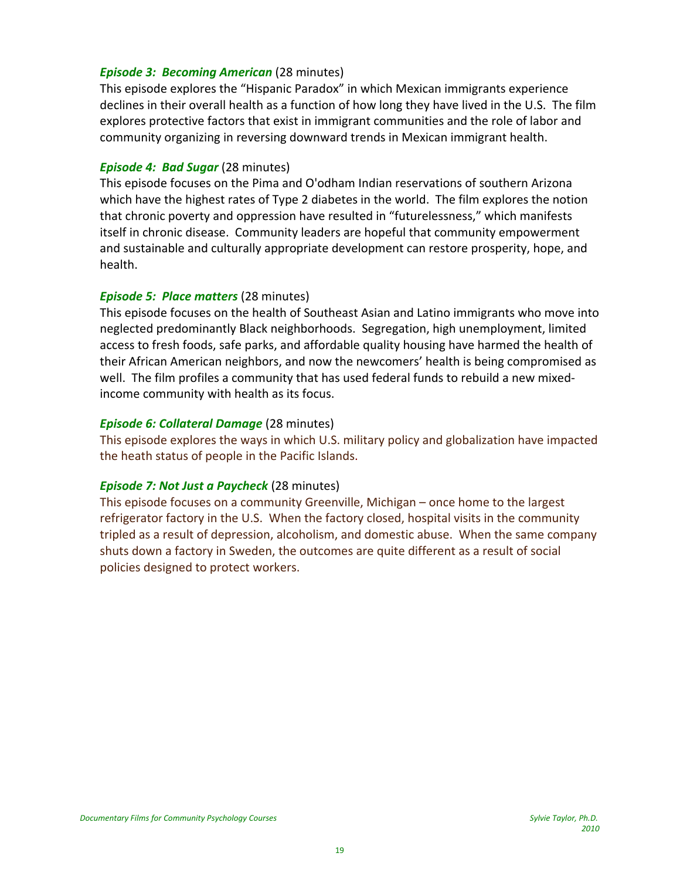### *Episode 3: Becoming American (28 minutes)*

This episode explores the "Hispanic Paradox" in which Mexican immigrants experience declines in their overall health as a function of how long they have lived in the U.S. The film explores protective factors that exist in immigrant communities and the role of labor and community organizing in reversing downward trends in Mexican immigrant health.

#### *Episode 4: Bad Sugar* (28 minutes)

This episode focuses on the Pima and O'odham Indian reservations of southern Arizona which have the highest rates of Type 2 diabetes in the world. The film explores the notion that chronic poverty and oppression have resulted in "futurelessness," which manifests itself in chronic disease. Community leaders are hopeful that community empowerment and sustainable and culturally appropriate development can restore prosperity, hope, and health.

### *Episode 5: Place matters* (28 minutes)

This episode focuses on the health of Southeast Asian and Latino immigrants who move into neglected predominantly Black neighborhoods. Segregation, high unemployment, limited access to fresh foods, safe parks, and affordable quality housing have harmed the health of their African American neighbors, and now the newcomers' health is being compromised as well. The film profiles a community that has used federal funds to rebuild a new mixedincome community with health as its focus.

### *Episode 6: Collateral Damage* (28 minutes)

This episode explores the ways in which U.S. military policy and globalization have impacted the heath status of people in the Pacific Islands.

### *Episode 7: Not Just a Paycheck* (28 minutes)

This episode focuses on a community Greenville, Michigan – once home to the largest refrigerator factory in the U.S. When the factory closed, hospital visits in the community tripled as a result of depression, alcoholism, and domestic abuse. When the same company shuts down a factory in Sweden, the outcomes are quite different as a result of social policies designed to protect workers.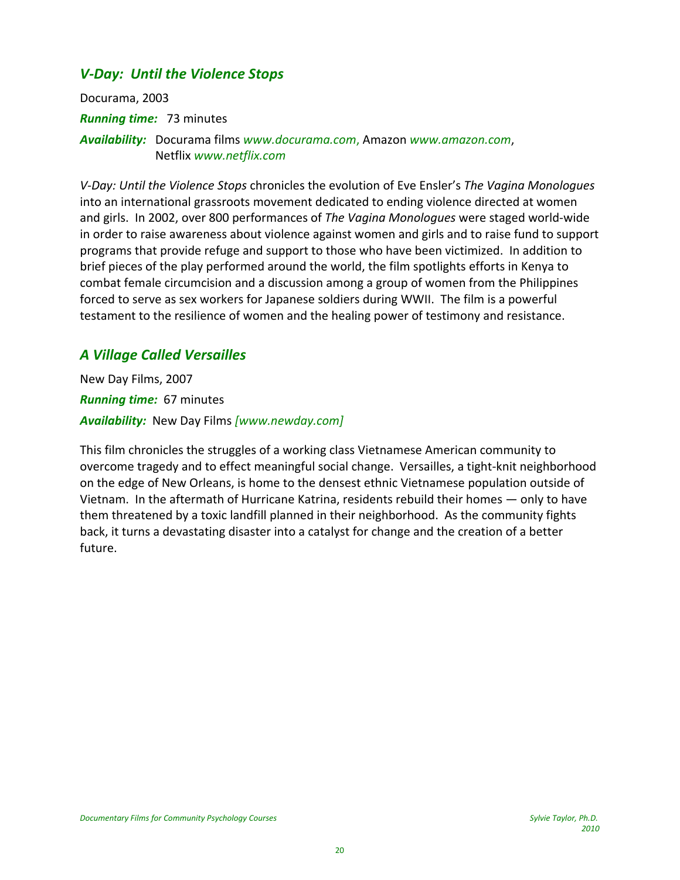# *V‐Day: Until the Violence Stops*

Docurama, 2003 *Running time:* 73 minutes *Availability:* Docurama films *www.docurama.com*, Amazon *www.amazon.com*, Netflix *www.netflix.com*

*V‐Day: Until the Violence Stops* chronicles the evolution of Eve Ensler's *The Vagina Monologues* into an international grassroots movement dedicated to ending violence directed at women and girls. In 2002, over 800 performances of *The Vagina Monologues* were staged world‐wide in order to raise awareness about violence against women and girls and to raise fund to support programs that provide refuge and support to those who have been victimized. In addition to brief pieces of the play performed around the world, the film spotlights efforts in Kenya to combat female circumcision and a discussion among a group of women from the Philippines forced to serve as sex workers for Japanese soldiers during WWII. The film is a powerful testament to the resilience of women and the healing power of testimony and resistance.

# *A Village Called Versailles*

New Day Films, 2007 *Running time:* 67 minutes *Availability:* New Day Films *[www.newday.com]*

This film chronicles the struggles of a working class Vietnamese American community to overcome tragedy and to effect meaningful social change. Versailles, a tight‐knit neighborhood on the edge of New Orleans, is home to the densest ethnic Vietnamese population outside of Vietnam. In the aftermath of Hurricane Katrina, residents rebuild their homes — only to have them threatened by a toxic landfill planned in their neighborhood. As the community fights back, it turns a devastating disaster into a catalyst for change and the creation of a better future.